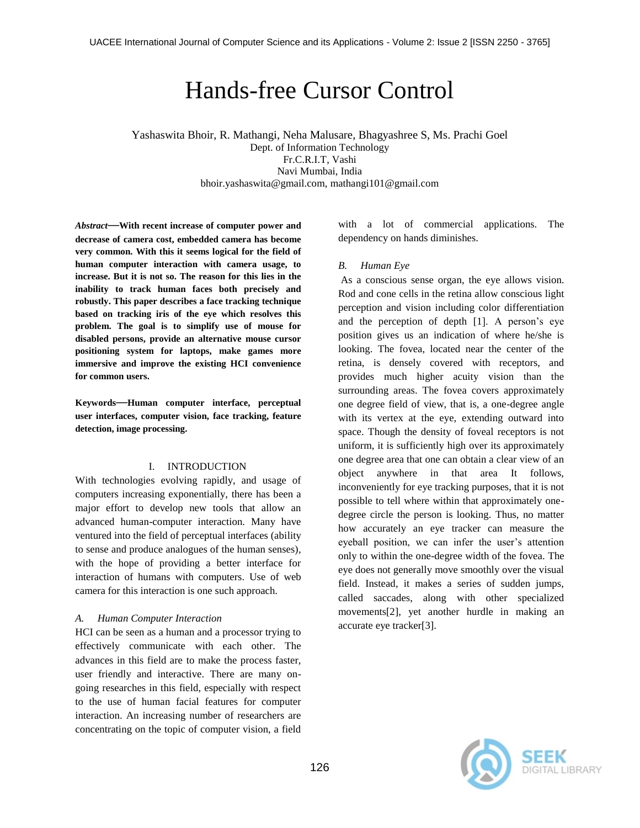# Hands-free Cursor Control

Yashaswita Bhoir, R. Mathangi, Neha Malusare, Bhagyashree S, Ms. Prachi Goel Dept. of Information Technology Fr.C.R.I.T, Vashi Navi Mumbai, India bhoir.yashaswita@gmail.com, mathangi101@gmail.com

*Abstract*—**With recent increase of computer power and decrease of camera cost, embedded camera has become very common. With this it seems logical for the field of human computer interaction with camera usage, to increase. But it is not so. The reason for this lies in the inability to track human faces both precisely and robustly. This paper describes a face tracking technique based on tracking iris of the eye which resolves this problem. The goal is to simplify use of mouse for disabled persons, provide an alternative mouse cursor positioning system for laptops, make games more immersive and improve the existing HCI convenience for common users.**

**Keywords**—**Human computer interface, perceptual user interfaces, computer vision, face tracking, feature detection, image processing.**

# I. INTRODUCTION

With technologies evolving rapidly, and usage of computers increasing exponentially, there has been a major effort to develop new tools that allow an advanced human-computer interaction. Many have ventured into the field of perceptual interfaces (ability to sense and produce analogues of the human senses), with the hope of providing a better interface for interaction of humans with computers. Use of web camera for this interaction is one such approach.

#### *A. Human Computer Interaction*

HCI can be seen as a human and a processor trying to effectively communicate with each other. The advances in this field are to make the process faster, user friendly and interactive. There are many ongoing researches in this field, especially with respect to the use of human facial features for computer interaction. An increasing number of researchers are concentrating on the topic of computer vision, a field

with a lot of commercial applications. The dependency on hands diminishes.

## *B. Human Eye*

As a conscious [sense](http://en.wikipedia.org/wiki/Sensory_system) [organ,](http://en.wikipedia.org/wiki/Sensory_system) the [eye](http://en.wikipedia.org/wiki/Eye) allows [vision.](http://en.wikipedia.org/wiki/Visual_perception) [Rod](http://en.wikipedia.org/wiki/Rod_cell) and [cone](http://en.wikipedia.org/wiki/Cone_cell) cells in the [retina](http://en.wikipedia.org/wiki/Retina) allow conscious light perception and vision including color differentiation and the perception of depth [1]. A person's eye position gives us an indication of where he/she is looking. The fovea, located near the center of the retina, is densely covered with receptors, and provides much higher acuity vision than the surrounding areas. The fovea covers approximately one degree field of view, that is, a one-degree angle with its vertex at the eye, extending outward into space. Though the density of foveal receptors is not uniform, it is sufficiently high over its approximately one degree area that one can obtain a clear view of an object anywhere in that area It follows, inconveniently for eye tracking purposes, that it is not possible to tell where within that approximately onedegree circle the person is looking. Thus, no matter how accurately an eye tracker can measure the eyeball position, we can infer the user's attention only to within the one-degree width of the fovea. The eye does not generally move smoothly over the visual field. Instead, it makes a series of sudden jumps, called saccades, along with other specialized movements[2], yet another hurdle in making an accurate eye tracker[3].

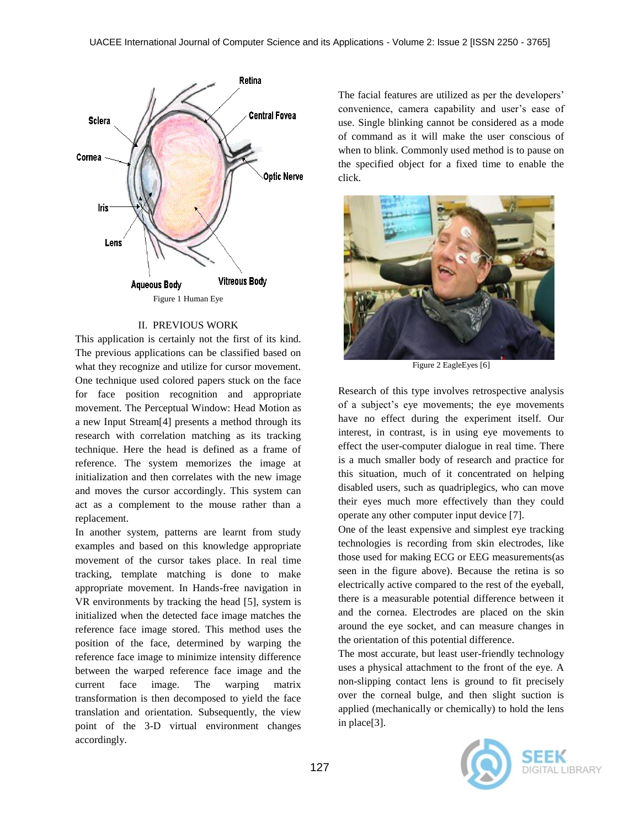

# II. PREVIOUS WORK

This application is certainly not the first of its kind. The previous applications can be classified based on what they recognize and utilize for cursor movement. One technique used colored papers stuck on the face for face position recognition and appropriate movement. The Perceptual Window: Head Motion as a new Input Stream[4] presents a method through its research with correlation matching as its tracking technique. Here the head is defined as a frame of reference. The system memorizes the image at initialization and then correlates with the new image and moves the cursor accordingly. This system can act as a complement to the mouse rather than a replacement.

In another system, patterns are learnt from study examples and based on this knowledge appropriate movement of the cursor takes place. In real time tracking, template matching is done to make appropriate movement. In Hands-free navigation in VR environments by tracking the head [5], system is initialized when the detected face image matches the reference face image stored. This method uses the position of the face, determined by warping the reference face image to minimize intensity difference between the warped reference face image and the current face image. The warping matrix transformation is then decomposed to yield the face translation and orientation. Subsequently, the view point of the 3-D virtual environment changes accordingly.

The facial features are utilized as per the developers' convenience, camera capability and user's ease of use. Single blinking cannot be considered as a mode of command as it will make the user conscious of when to blink. Commonly used method is to pause on the specified object for a fixed time to enable the click.



Figure 2 EagleEyes [6]

Research of this type involves retrospective analysis of a subject's eye movements; the eye movements have no effect during the experiment itself. Our interest, in contrast, is in using eye movements to effect the user-computer dialogue in real time. There is a much smaller body of research and practice for this situation, much of it concentrated on helping disabled users, such as quadriplegics, who can move their eyes much more effectively than they could operate any other computer input device [7].

One of the least expensive and simplest eye tracking technologies is recording from skin electrodes, like those used for making ECG or EEG measurements(as seen in the figure above). Because the retina is so electrically active compared to the rest of the eyeball, there is a measurable potential difference between it and the cornea. Electrodes are placed on the skin around the eye socket, and can measure changes in the orientation of this potential difference.

The most accurate, but least user-friendly technology uses a physical attachment to the front of the eye. A non-slipping contact lens is ground to fit precisely over the corneal bulge, and then slight suction is applied (mechanically or chemically) to hold the lens in place[3].

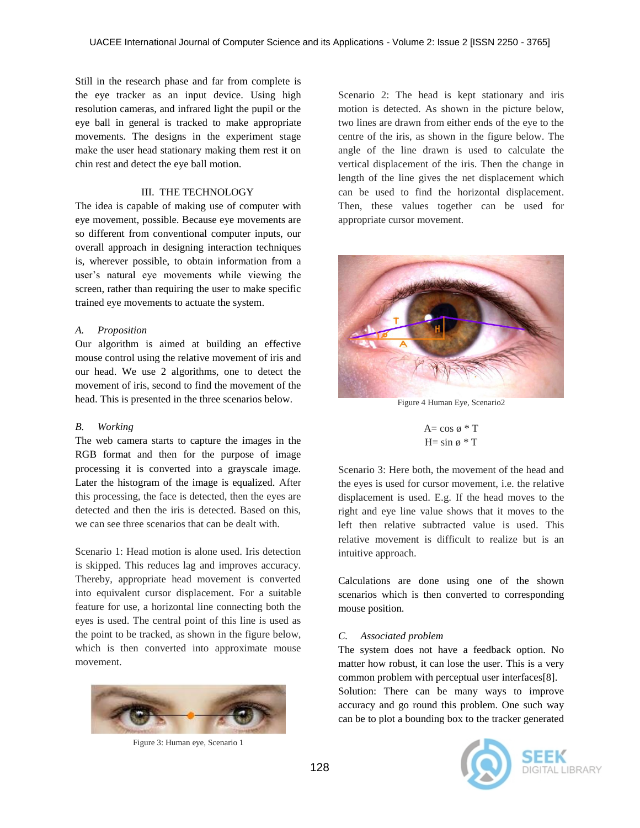Still in the research phase and far from complete is the eye tracker as an input device. Using high resolution cameras, and infrared light the pupil or the eye ball in general is tracked to make appropriate movements. The designs in the experiment stage make the user head stationary making them rest it on chin rest and detect the eye ball motion.

#### III. THE TECHNOLOGY

The idea is capable of making use of computer with eye movement, possible. Because eye movements are so different from conventional computer inputs, our overall approach in designing interaction techniques is, wherever possible, to obtain information from a user's natural eye movements while viewing the screen, rather than requiring the user to make specific trained eye movements to actuate the system.

## *A. Proposition*

Our algorithm is aimed at building an effective mouse control using the relative movement of iris and our head. We use 2 algorithms, one to detect the movement of iris, second to find the movement of the head. This is presented in the three scenarios below.

#### *B. Working*

The web camera starts to capture the images in the RGB format and then for the purpose of image processing it is converted into a grayscale image. Later the histogram of the image is equalized. After this processing, the face is detected, then the eyes are detected and then the iris is detected. Based on this, we can see three scenarios that can be dealt with.

Scenario 1: Head motion is alone used. Iris detection is skipped. This reduces lag and improves accuracy. Thereby, appropriate head movement is converted into equivalent cursor displacement. For a suitable feature for use, a horizontal line connecting both the eyes is used. The central point of this line is used as the point to be tracked, as shown in the figure below, which is then converted into approximate mouse movement.



Figure 3: Human eye, Scenario 1

Scenario 2: The head is kept stationary and iris motion is detected. As shown in the picture below, two lines are drawn from either ends of the eye to the centre of the iris, as shown in the figure below. The angle of the line drawn is used to calculate the vertical displacement of the iris. Then the change in length of the line gives the net displacement which can be used to find the horizontal displacement. Then, these values together can be used for appropriate cursor movement.



Figure 4 Human Eye, Scenario2

$$
A = \cos \phi * T
$$
  
H = sin  $\phi * T$ 

Scenario 3: Here both, the movement of the head and the eyes is used for cursor movement, i.e. the relative displacement is used. E.g. If the head moves to the right and eye line value shows that it moves to the left then relative subtracted value is used. This relative movement is difficult to realize but is an intuitive approach.

Calculations are done using one of the shown scenarios which is then converted to corresponding mouse position.

# *C. Associated problem*

The system does not have a feedback option. No matter how robust, it can lose the user. This is a very common problem with perceptual user interfaces[8]. Solution: There can be many ways to improve accuracy and go round this problem. One such way can be to plot a bounding box to the tracker generated